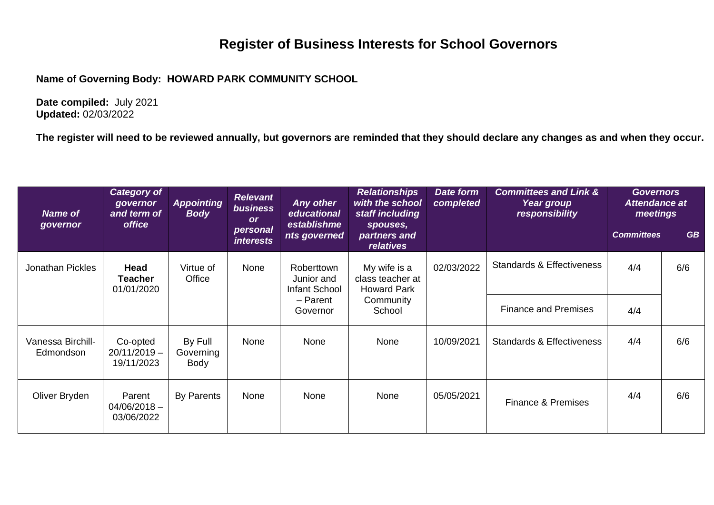## **Register of Business Interests for School Governors**

**Name of Governing Body: HOWARD PARK COMMUNITY SCHOOL**

**Date compiled:** July 2021 **Updated:** 02/03/2022

**The register will need to be reviewed annually, but governors are reminded that they should declare any changes as and when they occur.**

| <b>Name of</b><br>governor     | <b>Category of</b><br>governor<br>and term of<br>office | <b>Appointing</b><br><b>Body</b> | <b>Relevant</b><br>business<br><b>or</b><br>personal<br><i>interests</i> | <b>Any other</b><br>educational<br>establishme<br>nts governed           | <b>Relationships</b><br>with the school<br>staff including<br>spouses,<br>partners and<br><i>relatives</i> | Date form<br>completed | <b>Committees and Link &amp;</b><br>Year group<br>responsibility | <b>Governors</b><br><b>Attendance at</b><br>meetings<br><b>Committees</b> | <b>GB</b> |
|--------------------------------|---------------------------------------------------------|----------------------------------|--------------------------------------------------------------------------|--------------------------------------------------------------------------|------------------------------------------------------------------------------------------------------------|------------------------|------------------------------------------------------------------|---------------------------------------------------------------------------|-----------|
| <b>Jonathan Pickles</b>        | Head<br><b>Teacher</b><br>01/01/2020                    | Virtue of<br>Office              | None                                                                     | <b>Roberttown</b><br>Junior and<br>Infant School<br>- Parent<br>Governor | My wife is a<br>class teacher at<br><b>Howard Park</b><br>Community<br>School                              | 02/03/2022             | <b>Standards &amp; Effectiveness</b>                             | 4/4                                                                       | 6/6       |
|                                |                                                         |                                  |                                                                          |                                                                          |                                                                                                            |                        | <b>Finance and Premises</b>                                      | 4/4                                                                       |           |
| Vanessa Birchill-<br>Edmondson | Co-opted<br>$20/11/2019 -$<br>19/11/2023                | By Full<br>Governing<br>Body     | None                                                                     | None                                                                     | None                                                                                                       | 10/09/2021             | <b>Standards &amp; Effectiveness</b>                             | 4/4                                                                       | 6/6       |
| Oliver Bryden                  | Parent<br>$04/06/2018 -$<br>03/06/2022                  | By Parents                       | None                                                                     | None                                                                     | None                                                                                                       | 05/05/2021             | <b>Finance &amp; Premises</b>                                    | 4/4                                                                       | 6/6       |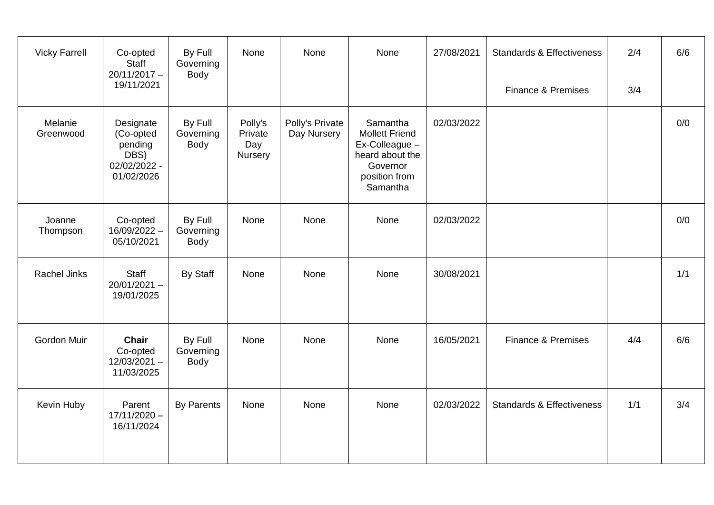| <b>Vicky Farrell</b> | Co-opted<br><b>Staff</b><br>$20/11/2017 -$<br>19/11/2021                | By Full<br>Governing<br><b>Body</b> | None                                 | None                           | None                                                                                                            | 27/08/2021 | <b>Standards &amp; Effectiveness</b> | 2/4 | 6/6 |
|----------------------|-------------------------------------------------------------------------|-------------------------------------|--------------------------------------|--------------------------------|-----------------------------------------------------------------------------------------------------------------|------------|--------------------------------------|-----|-----|
|                      |                                                                         |                                     |                                      |                                |                                                                                                                 |            | Finance & Premises                   | 3/4 |     |
| Melanie<br>Greenwood | Designate<br>(Co-opted<br>pending<br>DBS)<br>02/02/2022 -<br>01/02/2026 | By Full<br>Governing<br>Body        | Polly's<br>Private<br>Day<br>Nursery | Polly's Private<br>Day Nursery | Samantha<br><b>Mollett Friend</b><br>Ex-Colleague -<br>heard about the<br>Governor<br>position from<br>Samantha | 02/03/2022 |                                      |     | 0/0 |
| Joanne<br>Thompson   | Co-opted<br>16/09/2022 -<br>05/10/2021                                  | By Full<br>Governing<br>Body        | None                                 | None                           | None                                                                                                            | 02/03/2022 |                                      |     | 0/0 |
| <b>Rachel Jinks</b>  | Staff<br>$20/01/2021 -$<br>19/01/2025                                   | <b>By Staff</b>                     | None                                 | None                           | None                                                                                                            | 30/08/2021 |                                      |     | 1/1 |
| Gordon Muir          | <b>Chair</b><br>Co-opted<br>$12/03/2021 -$<br>11/03/2025                | By Full<br>Governing<br><b>Body</b> | None                                 | None                           | None                                                                                                            | 16/05/2021 | <b>Finance &amp; Premises</b>        | 4/4 | 6/6 |
| Kevin Huby           | Parent<br>$17/11/2020 -$<br>16/11/2024                                  | <b>By Parents</b>                   | None                                 | None                           | None                                                                                                            | 02/03/2022 | <b>Standards &amp; Effectiveness</b> | 1/1 | 3/4 |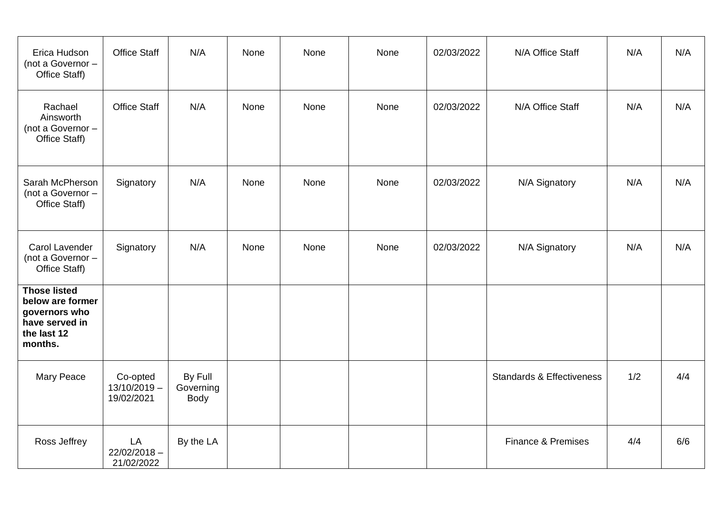| Erica Hudson<br>(not a Governor -<br>Office Staff)                                                   | <b>Office Staff</b>                      | N/A                          | None | None | None | 02/03/2022 | N/A Office Staff                     | N/A | N/A |
|------------------------------------------------------------------------------------------------------|------------------------------------------|------------------------------|------|------|------|------------|--------------------------------------|-----|-----|
| Rachael<br>Ainsworth<br>(not a Governor -<br>Office Staff)                                           | <b>Office Staff</b>                      | N/A                          | None | None | None | 02/03/2022 | N/A Office Staff                     | N/A | N/A |
| Sarah McPherson<br>(not a Governor -<br>Office Staff)                                                | Signatory                                | N/A                          | None | None | None | 02/03/2022 | N/A Signatory                        | N/A | N/A |
| Carol Lavender<br>(not a Governor -<br>Office Staff)                                                 | Signatory                                | N/A                          | None | None | None | 02/03/2022 | N/A Signatory                        | N/A | N/A |
| <b>Those listed</b><br>below are former<br>governors who<br>have served in<br>the last 12<br>months. |                                          |                              |      |      |      |            |                                      |     |     |
| Mary Peace                                                                                           | Co-opted<br>$13/10/2019 -$<br>19/02/2021 | By Full<br>Governing<br>Body |      |      |      |            | <b>Standards &amp; Effectiveness</b> | 1/2 | 4/4 |
| Ross Jeffrey                                                                                         | LA<br>$22/02/2018 -$<br>21/02/2022       | By the LA                    |      |      |      |            | Finance & Premises                   | 4/4 | 6/6 |